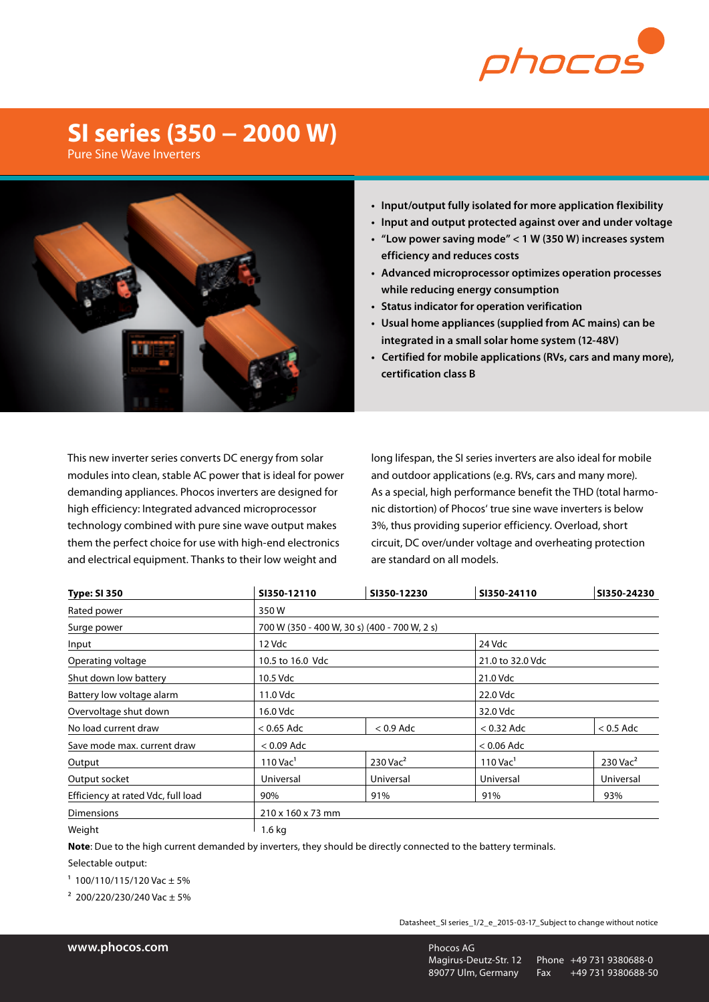

## **SI series (350 − 2000 W)**

Pure Sine Wave Inverters



- **• Input/output fully isolated for more application flexibility**
- **• Input and output protected against over and under voltage**
- **• "Low power saving mode" < 1 W (350 W) increases system efficiency and reduces costs**
- **• Advanced microprocessor optimizes operation processes while reducing energy consumption**
- **• Status indicator for operation verification**
- **• Usual home appliances (supplied from AC mains) can be integrated in a small solar home system (12-48V)**
- **Certified for mobile applications (RVs, cars and many more), certification class B**

This new inverter series converts DC energy from solar modules into clean, stable AC power that is ideal for power demanding appliances. Phocos inverters are designed for high efficiency: Integrated advanced microprocessor technology combined with pure sine wave output makes them the perfect choice for use with high-end electronics and electrical equipment. Thanks to their low weight and

long lifespan, the SI series inverters are also ideal for mobile and outdoor applications (e.g. RVs, cars and many more). As a special, high performance benefit the THD (total harmonic distortion) of Phocos' true sine wave inverters is below 3%, thus providing superior efficiency. Overload, short circuit, DC over/under voltage and overheating protection are standard on all models.

| <b>Type: SI 350</b>                | SI350-12110            | SI350-12230                                  | SI350-24110            | SI350-24230            |  |  |  |  |  |
|------------------------------------|------------------------|----------------------------------------------|------------------------|------------------------|--|--|--|--|--|
| Rated power                        | 350W                   |                                              |                        |                        |  |  |  |  |  |
| Surge power                        |                        | 700 W (350 - 400 W, 30 s) (400 - 700 W, 2 s) |                        |                        |  |  |  |  |  |
| Input                              | 12 Vdc                 |                                              | 24 Vdc                 |                        |  |  |  |  |  |
| Operating voltage                  | 10.5 to 16.0 Vdc       |                                              | 21.0 to 32.0 Vdc       |                        |  |  |  |  |  |
| Shut down low battery              | 10.5 Vdc               |                                              | 21.0 Vdc               |                        |  |  |  |  |  |
| Battery low voltage alarm          | 11.0 Vdc               |                                              | 22.0 Vdc               |                        |  |  |  |  |  |
| Overvoltage shut down              | 16.0 Vdc               |                                              |                        | 32.0 Vdc               |  |  |  |  |  |
| No load current draw               | $<$ 0.65 Adc           | $< 0.9$ Adc                                  | $<$ 0.32 Adc           | $< 0.5$ Adc            |  |  |  |  |  |
| Save mode max, current draw        | $<$ 0.09 Adc           |                                              |                        | $<$ 0.06 Adc           |  |  |  |  |  |
| Output                             | $110$ Vac <sup>1</sup> | $230$ Vac <sup>2</sup>                       | $110$ Vac <sup>1</sup> | $230$ Vac <sup>2</sup> |  |  |  |  |  |
| Output socket                      | Universal              | Universal                                    | Universal              | Universal              |  |  |  |  |  |
| Efficiency at rated Vdc, full load | 90%                    | 91%                                          | 91%                    | 93%                    |  |  |  |  |  |
| <b>Dimensions</b>                  |                        | 210 x 160 x 73 mm                            |                        |                        |  |  |  |  |  |
| Weight                             | $1.6$ kg               |                                              |                        |                        |  |  |  |  |  |

**Note**: Due to the high current demanded by inverters, they should be directly connected to the battery terminals.

Selectable output:

 $1$  100/110/115/120 Vac  $\pm$  5%

 $2$  200/220/230/240 Vac + 5%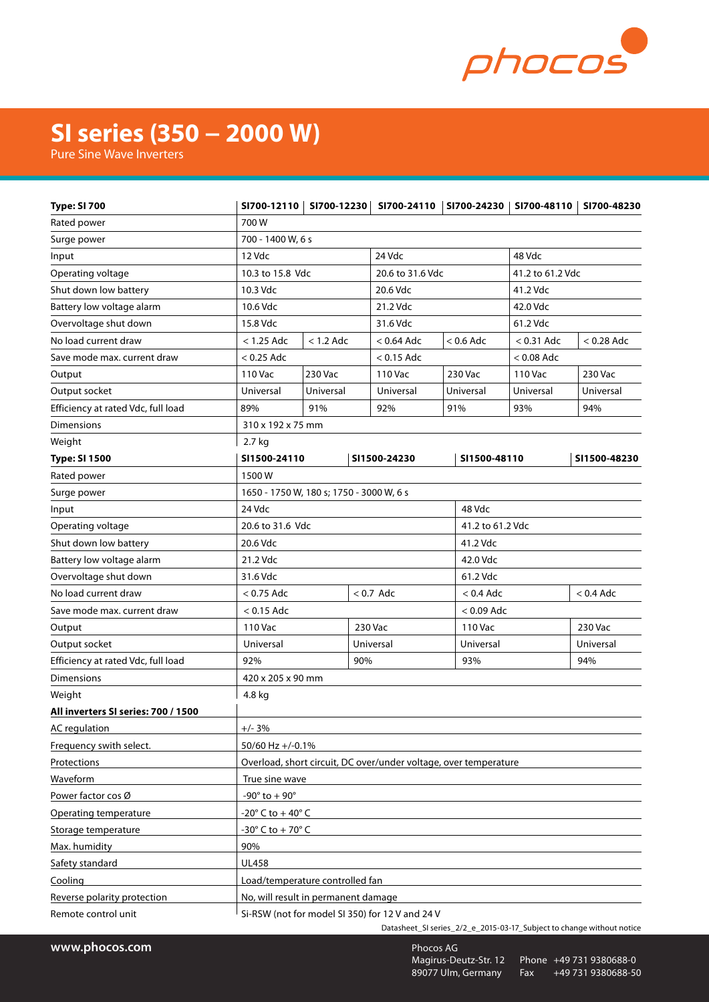

## **SI series (350 − 2000 W)**

Pure Sine Wave Inverters

| <b>Type: SI 700</b>                 |                                                                  |              |          |                              |                  |                  | SI700-12110   SI700-12230   SI700-24110   SI700-24230   SI700-48110   SI700-48230 |
|-------------------------------------|------------------------------------------------------------------|--------------|----------|------------------------------|------------------|------------------|-----------------------------------------------------------------------------------|
| Rated power                         | 700W                                                             |              |          |                              |                  |                  |                                                                                   |
| Surge power                         | 700 - 1400 W, 6 s                                                |              |          |                              |                  |                  |                                                                                   |
| Input                               | 12 Vdc<br>24 Vdc<br>48 Vdc                                       |              |          |                              |                  |                  |                                                                                   |
| Operating voltage                   | 10.3 to 15.8 Vdc                                                 |              |          | 20.6 to 31.6 Vdc             |                  | 41.2 to 61.2 Vdc |                                                                                   |
| Shut down low battery               | 10.3 Vdc                                                         |              |          | 20.6 Vdc                     |                  | 41.2 Vdc         |                                                                                   |
| Battery low voltage alarm           | 10.6 Vdc                                                         |              |          | 21.2 Vdc                     |                  | 42.0 Vdc         |                                                                                   |
| Overvoltage shut down               | 15.8 Vdc                                                         |              | 31.6 Vdc |                              | 61.2 Vdc         |                  |                                                                                   |
| No load current draw                | $<$ 1.25 Adc                                                     | $< 1.2$ Adc  |          | $< 0.64$ Adc                 | $<$ 0.6 Adc      | $< 0.31$ Adc     | $< 0.28$ Adc                                                                      |
| Save mode max. current draw         | $< 0.25$ Adc                                                     | $< 0.15$ Adc |          |                              | $< 0.08$ Adc     |                  |                                                                                   |
| Output                              | 110 Vac                                                          | 230 Vac      |          | 110 Vac                      | 230 Vac          | 110 Vac          | 230 Vac                                                                           |
| Output socket                       | Universal                                                        | Universal    |          | Universal                    | Universal        | Universal        | Universal                                                                         |
| Efficiency at rated Vdc, full load  | 89%                                                              | 91%          |          | 92%                          | 91%              | 93%              | 94%                                                                               |
| <b>Dimensions</b>                   | 310 x 192 x 75 mm                                                |              |          |                              |                  |                  |                                                                                   |
| Weight                              | 2.7 kg                                                           |              |          |                              |                  |                  |                                                                                   |
| <b>Type: SI 1500</b>                | SI1500-24110                                                     |              |          | SI1500-24230<br>SI1500-48110 |                  |                  | SI1500-48230                                                                      |
| Rated power                         | 1500W                                                            |              |          |                              |                  |                  |                                                                                   |
| Surge power                         | 1650 - 1750 W, 180 s; 1750 - 3000 W, 6 s                         |              |          |                              |                  |                  |                                                                                   |
| Input                               | 24 Vdc<br>48 Vdc                                                 |              |          |                              |                  |                  |                                                                                   |
| Operating voltage                   | 20.6 to 31.6 Vdc                                                 |              |          |                              | 41.2 to 61.2 Vdc |                  |                                                                                   |
| Shut down low battery               | 20.6 Vdc                                                         |              |          | 41.2 Vdc                     |                  |                  |                                                                                   |
| Battery low voltage alarm           | 21.2 Vdc                                                         |              |          | 42.0 Vdc                     |                  |                  |                                                                                   |
| Overvoltage shut down               | 31.6 Vdc                                                         |              |          | 61.2 Vdc                     |                  |                  |                                                                                   |
| No load current draw                | $< 0.75$ Adc<br>$< 0.7$ Adc                                      |              |          | $< 0.4$ Adc                  | $<$ 0.4 Adc      |                  |                                                                                   |
| Save mode max. current draw         | $<$ 0.15 Adc                                                     |              |          | $<$ 0.09 Adc                 |                  |                  |                                                                                   |
| Output                              | 110 Vac                                                          |              | 230 Vac  | 110 Vac                      |                  |                  | 230 Vac                                                                           |
| Output socket                       | Universal                                                        |              |          | Universal<br>Universal       |                  |                  | Universal                                                                         |
| Efficiency at rated Vdc, full load  | 90%<br>92%                                                       |              | 93%      |                              |                  |                  |                                                                                   |
| <b>Dimensions</b>                   | 420 x 205 x 90 mm                                                |              |          |                              |                  |                  |                                                                                   |
| Weight                              | 4.8 kg                                                           |              |          |                              |                  |                  |                                                                                   |
| All inverters SI series: 700 / 1500 |                                                                  |              |          |                              |                  |                  |                                                                                   |
| <b>AC</b> regulation                | $+/- 3%$                                                         |              |          |                              |                  |                  |                                                                                   |
| Frequency swith select.             | 50/60 Hz +/-0.1%                                                 |              |          |                              |                  |                  |                                                                                   |
| Protections                         | Overload, short circuit, DC over/under voltage, over temperature |              |          |                              |                  |                  |                                                                                   |
| Waveform                            | True sine wave                                                   |              |          |                              |                  |                  |                                                                                   |
| Power factor cos Ø                  | $-90^{\circ}$ to $+90^{\circ}$                                   |              |          |                              |                  |                  |                                                                                   |
| Operating temperature               | $-20^{\circ}$ C to + 40 $^{\circ}$ C                             |              |          |                              |                  |                  |                                                                                   |
| Storage temperature                 | -30 $\degree$ C to + 70 $\degree$ C                              |              |          |                              |                  |                  |                                                                                   |
| Max. humidity                       | 90%                                                              |              |          |                              |                  |                  |                                                                                   |
| Safety standard                     | <b>UL458</b>                                                     |              |          |                              |                  |                  |                                                                                   |
| Cooling                             | Load/temperature controlled fan                                  |              |          |                              |                  |                  |                                                                                   |
| Reverse polarity protection         | No, will result in permanent damage                              |              |          |                              |                  |                  |                                                                                   |
| Remote control unit                 | Si-RSW (not for model SI 350) for 12 V and 24 V                  |              |          |                              |                  |                  |                                                                                   |

Datasheet\_SI series\_2/2\_e\_2015-03-17\_Subject to change without notice